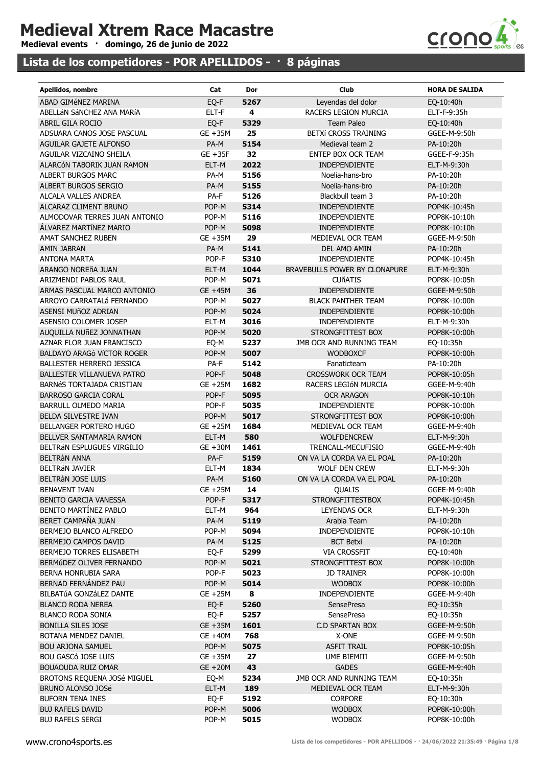## Medieval Xtrem Race Macastre

Medieval events · domingo, 26 de junio de 2022

## Lista de los competidores - POR APELLIDOS - · 8 páginas



| Apellidos, nombre                                | Cat          | Dor          | Club                                    | <b>HORA DE SALIDA</b>        |
|--------------------------------------------------|--------------|--------------|-----------------------------------------|------------------------------|
| ABAD GIMÉNEZ MARINA                              | EQ-F         | 5267         | Leyendas del dolor                      | EQ-10:40h                    |
| ABELLÁN SÁNCHEZ ANA MARÍA                        | ELT-F        | 4            | RACERS LEGION MURCIA                    | ELT-F-9:35h                  |
| <b>ABRIL GILA ROCIO</b>                          | EQ-F         | 5329         | Team Paleo                              | EQ-10:40h                    |
| ADSUARA CANOS JOSE PASCUAL                       | GE +35M      | 25           | BETXÍ CROSS TRAINING                    | GGEE-M-9:50h                 |
| AGUILAR GAJETE ALFONSO                           | PA-M         | 5154         | Medieval team 2                         | PA-10:20h                    |
| AGUILAR VIZCAINO SHEILA                          | $GE + 35F$   | 32           | ENTEP BOX OCR TEAM                      | GGEE-F-9:35h                 |
| ALARCÓN TABORIK JUAN RAMON                       | ELT-M        | 2022         | INDEPENDIENTE                           | ELT-M-9:30h                  |
| <b>ALBERT BURGOS MARC</b>                        | PA-M         | 5156         | Noelia-hans-bro                         | PA-10:20h                    |
| ALBERT BURGOS SERGIO                             | PA-M         | 5155         | Noelia-hans-bro                         | PA-10:20h                    |
| ALCALA VALLES ANDREA                             | PA-F         | 5126         | Blackbull team 3                        | PA-10:20h                    |
| ALCARAZ CLIMENT BRUNO                            | POP-M        | 5314         | INDEPENDIENTE                           | POP4K-10:45h                 |
| ALMODOVAR TERRES JUAN ANTONIO                    | POP-M        | 5116         | <b>INDEPENDIENTE</b>                    | POP8K-10:10h                 |
| ALVAREZ MARTÍNEZ MARIO                           | POP-M        | 5098         | INDEPENDIENTE                           | POP8K-10:10h                 |
| AMAT SANCHEZ RUBEN                               | GE +35M      | 29           | MEDIEVAL OCR TEAM                       | GGEE-M-9:50h                 |
| AMIN JABRAN                                      | PA-M         | 5141         | DEL AMO AMIN                            | PA-10:20h                    |
| <b>ANTONA MARTA</b>                              | POP-F        | 5310         | INDEPENDIENTE                           | POP4K-10:45h                 |
| ARANGO NOREÑA JUAN                               | ELT-M        | 1044         | BRAVEBULLS POWER BY CLONAPURE           | ELT-M-9:30h                  |
| ARIZMENDI PABLOS RAUL                            | POP-M        | 5071         | <b>CUÑATIS</b>                          | POP8K-10:05h                 |
| ARMAS PASCUAL MARCO ANTONIO                      | GE +45M      | 36           | INDEPENDIENTE                           | GGEE-M-9:50h                 |
| ARROYO CARRATALÁ FERNANDO                        | POP-M        | 5027         | <b>BLACK PANTHER TEAM</b>               | POP8K-10:00h                 |
| ASENSI MUñOZ ADRIAN                              | POP-M        | 5024         | INDEPENDIENTE                           | POP8K-10:00h                 |
| ASENSIO COLOMER JOSEP                            | ELT-M        | 3016         | <b>INDEPENDIENTE</b>                    | ELT-M-9:30h                  |
| AUQUILLA NUñEZ JONNATHAN                         | POP-M        | 5020         | STRONGFITTEST BOX                       | POP8K-10:00h                 |
| AZNAR FLOR JUAN FRANCISCO                        | EQ-M         | 5237         | JMB OCR AND RUNNING TEAM                | EQ-10:35h                    |
| BALDAYO ARAGÓ VÍCTOR ROGER                       | POP-M        | 5007         | <b>WODBOXCF</b>                         | POP8K-10:00h                 |
| BALLESTER HERRERO JESSICA                        | PA-F         | 5142         | Fanaticteam                             | PA-10:20h                    |
| BALLESTER VILLANUEVA PATRO                       | POP-F        | 5048         | <b>CROSSWORK OCR TEAM</b>               | POP8K-10:05h                 |
| BARNÉS TORTAJADA CRISTIAN                        | GE +25M      | 1682         | RACERS LEGIÓN MURCIA                    | GGEE-M-9:40h                 |
| <b>BARROSO GARCIA CORAL</b>                      | POP-F        | 5095         | <b>OCR ARAGON</b>                       | POP8K-10:10h                 |
| BARRULL OLMEDO MARIA                             | POP-F        | 5035         | INDEPENDIENTE                           | POP8K-10:00h                 |
| BELDA SILVESTRE IVAN                             | POP-M        | 5017         | STRONGFITTEST BOX                       | POP8K-10:00h                 |
| BELLANGER PORTERO HUGO                           | GE +25M      | 1684         | MEDIEVAL OCR TEAM                       | GGEE-M-9:40h                 |
| BELLVER SANTAMARIA RAMON                         | ELT-M        | 580          | <b>WOLFDENCREW</b>                      | ELT-M-9:30h                  |
| BELTRÁN ESPLUGUES VIRGILIO                       | GE +30M      | 1461         | TRENCALL-MECUFISIO                      | GGEE-M-9:40h                 |
| <b>BELTRÀN ANNA</b>                              | PA-F         | 5159         | ON VA LA CORDA VA EL POAL               | PA-10:20h                    |
| <b>BELTRÁN JAVIER</b>                            | ELT-M        | 1834         | <b>WOLF DEN CREW</b>                    | ELT-M-9:30h                  |
| BELTRÀN JOSE LUIS                                | PA-M         | 5160         | ON VA LA CORDA VA EL POAL               | PA-10:20h                    |
| BENAVENT IVAN                                    | GE +25M 14   |              | QUALIS                                  | GGEE-M-9:40h                 |
| BENITO GARCIA VANESSA                            | POP-F        | 5317         | <b>STRONGFITTESTBOX</b>                 | POP4K-10:45h                 |
| BENITO MARTÍNEZ PABLO                            | ELT-M        | 964          | <b>LEYENDAS OCR</b>                     | ELT-M-9:30h                  |
| BERET CAMPAÑA JUAN                               | PA-M         | 5119         | Arabia Team                             | PA-10:20h                    |
| BERMEJO BLANCO ALFREDO                           | POP-M        | 5094         | <b>INDEPENDIENTE</b>                    | POP8K-10:10h                 |
| BERMEJO CAMPOS DAVID<br>BERMEJO TORRES ELISABETH | PA-M<br>EQ-F | 5125<br>5299 | <b>BCT Betxi</b><br><b>VIA CROSSFIT</b> | PA-10:20h                    |
| BERMÚDEZ OLIVER FERNANDO                         | POP-M        |              | STRONGFITTEST BOX                       | EQ-10:40h                    |
| BERNA HONRUBIA SARA                              | POP-F        | 5021<br>5023 | <b>JD TRAINER</b>                       | POP8K-10:00h<br>POP8K-10:00h |
| BERNAD FERNÁNDEZ PAU                             | POP-M        | 5014         | <b>WODBOX</b>                           | POP8K-10:00h                 |
| BILBATÚA GONZÁLEZ DANTE                          | GE +25M      | 8            | INDEPENDIENTE                           | GGEE-M-9:40h                 |
| <b>BLANCO RODA NEREA</b>                         | EQ-F         | 5260         | <b>SensePresa</b>                       | EQ-10:35h                    |
| <b>BLANCO RODA SONIA</b>                         | EQ-F         | 5257         | <b>SensePresa</b>                       | EQ-10:35h                    |
| <b>BONILLA SILES JOSE</b>                        | GE +35M      | 1601         | C.D SPARTAN BOX                         | GGEE-M-9:50h                 |
| BOTANA MENDEZ DANIEL                             | GE +40M      | 768          | X-ONE                                   | GGEE-M-9:50h                 |
| <b>BOU ARJONA SAMUEL</b>                         | POP-M        | 5075         | <b>ASFIT TRAIL</b>                      | POP8K-10:05h                 |
| <b>BOU GASCÓ JOSE LUIS</b>                       | GE +35M      | 27           | UME BIEMIII                             | GGEE-M-9:50h                 |
| <b>BOUAOUDA RUIZ OMAR</b>                        | $GE + 20M$   | 43           | <b>GADES</b>                            | GGEE-M-9:40h                 |
| BROTONS REQUENA JOSé MIGUEL                      | EQ-M         | 5234         | JMB OCR AND RUNNING TEAM                | EQ-10:35h                    |
| BRUNO ALONSO JOSé                                | ELT-M        | 189          | MEDIEVAL OCR TEAM                       | ELT-M-9:30h                  |
| <b>BUFORN TENA INES</b>                          | EQ-F         | 5192         | <b>CORPORE</b>                          | EQ-10:30h                    |
| <b>BUJ RAFELS DAVID</b>                          | POP-M        | 5006         | <b>WODBOX</b>                           | POP8K-10:00h                 |
| <b>BUJ RAFELS SERGI</b>                          | POP-M        | 5015         | <b>WODBOX</b>                           | POP8K-10:00h                 |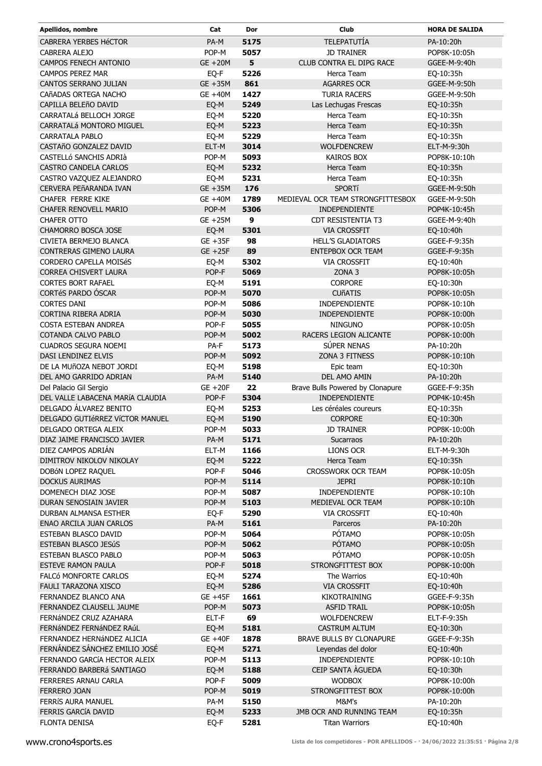| Apellidos, nombre                | Cat        | Dor  | Club                              | <b>HORA DE SALIDA</b> |
|----------------------------------|------------|------|-----------------------------------|-----------------------|
| CABRERA YERBES HéCTOR            | PA-M       | 5175 | <b>TELEPATUTÍA</b>                | PA-10:20h             |
| CABRERA ALEJO                    | POP-M      | 5057 | <b>JD TRAINER</b>                 | POP8K-10:05h          |
| CAMPOS FENECH ANTONIO            | GE +20M    | 5    | CLUB CONTRA EL DIPG RACE          | GGEE-M-9:40h          |
| <b>CAMPOS PEREZ MAR</b>          | EQ-F       | 5226 | Herca Team                        | EQ-10:35h             |
| CANTOS SERRANO JULIAN            | GE +35M    | 861  | <b>AGARRES OCR</b>                | GGEE-M-9:50h          |
| CAñADAS ORTEGA NACHO             | GE +40M    | 1427 | <b>TURIA RACERS</b>               | GGEE-M-9:50h          |
| CAPILLA BELEñO DAVID             | EQ-M       | 5249 | Las Lechugas Frescas              | EQ-10:35h             |
| CARRATALÁ BELLOCH JORGE          | EQ-M       | 5220 | Herca Team                        | EQ-10:35h             |
| CARRATALÁ MONTORO MIGUEL         | EQ-M       | 5223 | Herca Team                        | EQ-10:35h             |
| <b>CARRATALA PABLO</b>           | EQ-M       | 5229 | Herca Team                        | EQ-10:35h             |
| CASTAñO GONZALEZ DAVID           | ELT-M      | 3014 | <b>WOLFDENCREW</b>                | ELT-M-9:30h           |
| CASTELLÓ SANCHIS ADRIÀ           | POP-M      | 5093 | <b>KAIROS BOX</b>                 | POP8K-10:10h          |
| CASTRO CANDELA CARLOS            | EQ-M       | 5232 | Herca Team                        | EQ-10:35h             |
| CASTRO VAZQUEZ ALEJANDRO         | EQ-M       | 5231 | Herca Team                        | EQ-10:35h             |
| CERVERA PEñARANDA IVAN           | GE +35M    | 176  | <b>SPORTí</b>                     | GGEE-M-9:50h          |
| <b>CHAFER FERRE KIKE</b>         | GE +40M    | 1789 | MEDIEVAL OCR TEAM STRONGFITTESBOX | GGEE-M-9:50h          |
| <b>CHAFER RENOVELL MARIO</b>     | POP-M      | 5306 | INDEPENDIENTE                     | POP4K-10:45h          |
| <b>CHAFER OTTO</b>               | GE +25M    | 9    | <b>CDT RESISTENTIA T3</b>         | GGEE-M-9:40h          |
| CHAMORRO BOSCA JOSE              | EQ-M       | 5301 | <b>VIA CROSSFIT</b>               | EQ-10:40h             |
| CIVIETA BERMEJO BLANCA           | $GE + 35F$ | 98   | <b>HELL'S GLADIATORS</b>          | GGEE-F-9:35h          |
| CONTRERAS GIMENO LAURA           | $GE + 25F$ | 89   | <b>ENTEPBOX OCR TEAM</b>          | GGEE-F-9:35h          |
| <b>CORDERO CAPELLA MOISÉS</b>    | EQ-M       | 5302 | <b>VIA CROSSFIT</b>               | EQ-10:40h             |
| <b>CORREA CHISVERT LAURA</b>     | POP-F      | 5069 | ZONA <sub>3</sub>                 | POP8K-10:05h          |
| <b>CORTES BORT RAFAEL</b>        | EQ-M       | 5191 | <b>CORPORE</b>                    | EQ-10:30h             |
| CORTéS PARDO ÓSCAR               | POP-M      | 5070 | <b>CUÑATIS</b>                    | POP8K-10:05h          |
| <b>CORTES DANI</b>               | POP-M      | 5086 | INDEPENDIENTE                     | POP8K-10:10h          |
| CORTINA RIBERA ADRIA             | POP-M      | 5030 | INDEPENDIENTE                     | POP8K-10:00h          |
| COSTA ESTEBAN ANDREA             | POP-F      | 5055 | <b>NINGUNO</b>                    | POP8K-10:05h          |
| COTANDA CALVO PABLO              | POP-M      | 5002 | RACERS LEGION ALICANTE            | POP8K-10:00h          |
| <b>CUADROS SEGURA NOEMI</b>      | PA-F       | 5173 | SÚPER NENAS                       | PA-10:20h             |
| DASI LENDINEZ ELVIS              | POP-M      | 5092 | ZONA 3 FITNESS                    | POP8K-10:10h          |
| DE LA MUÑOZA NEBOT JORDI         | EQ-M       | 5198 | Epic team                         | EQ-10:30h             |
| DEL AMO GARRIDO ADRIAN           | PA-M       | 5140 | DEL AMO AMIN                      | PA-10:20h             |
| Del Palacio Gil Sergio           | $GE + 20F$ | 22   | Brave Bulls Powered by Clonapure  | GGEE-F-9:35h          |
| DEL VALLE LABACENA MARÍA CLAUDIA | POP-F      | 5304 | <b>INDEPENDIENTE</b>              | POP4K-10:45h          |
| DELGADO ÁLVAREZ BENITO           | EQ-M       | 5253 | Les céréales coureurs             | EQ-10:35h             |
| DELGADO GUTIéRREZ VÍCTOR MANUEL  | EQ-M       | 5190 | <b>CORPORE</b>                    | EQ-10:30h             |
| DELGADO ORTEGA ALEIX             | POP-M      | 5033 | <b>JD TRAINER</b>                 | POP8K-10:00h          |
| DIAZ JAIME FRANCISCO JAVIER      | PA-M       | 5171 | Sucarraos                         | PA-10:20h             |
| DIEZ CAMPOS ADRIÁN               | ELT-M      | 1166 | LIONS OCR                         | ELT-M-9:30h           |
| DIMITROV NIKOLOV NIKOLAY         | EQ-M       | 5222 | Herca Team                        | EQ-10:35h             |
| DOBÓN LOPEZ RAQUEL               | POP-F      | 5046 | <b>CROSSWORK OCR TEAM</b>         | POP8K-10:05h          |
| <b>DOCKUS AURIMAS</b>            | POP-M      | 5114 | <b>JEPRI</b>                      | POP8K-10:10h          |
| DOMENECH DIAZ JOSE               | POP-M      | 5087 | <b>INDEPENDIENTE</b>              | POP8K-10:10h          |
| DURAN SENOSIAIN JAVIER           | POP-M      | 5103 | MEDIEVAL OCR TEAM                 | POP8K-10:10h          |
| DURBAN ALMANSA ESTHER            | EQ-F       | 5290 | <b>VIA CROSSFIT</b>               | EQ-10:40h             |
| ENAO ARCILA JUAN CARLOS          | PA-M       | 5161 | Parceros                          | PA-10:20h             |
| <b>ESTEBAN BLASCO DAVID</b>      | POP-M      | 5064 | <b>PÓTAMO</b>                     | POP8K-10:05h          |
| ESTEBAN BLASCO JESúS             | POP-M      | 5062 | PÓTAMO                            | POP8K-10:05h          |
| ESTEBAN BLASCO PABLO             | POP-M      | 5063 | PÓTAMO                            | POP8K-10:05h          |
| <b>ESTEVE RAMON PAULA</b>        | POP-F      | 5018 | STRONGFITTEST BOX                 | POP8K-10:00h          |
| FALCÓ MONFORTE CARLOS            | EQ-M       | 5274 | The Warrios                       | EQ-10:40h             |
| FAULI TARAZONA XISCO             | EQ-M       | 5286 | <b>VIA CROSSFIT</b>               | EQ-10:40h             |
| FERNANDEZ BLANCO ANA             | GE +45F    | 1661 | <b>KIKOTRAINING</b>               | GGEE-F-9:35h          |
| FERNANDEZ CLAUSELL JAUME         | POP-M      | 5073 | <b>ASFID TRAIL</b>                | POP8K-10:05h          |
| FERNÁNDEZ CRUZ AZAHARA           | ELT-F      | 69   | <b>WOLFDENCREW</b>                | ELT-F-9:35h           |
| FERNÁNDEZ FERNÁNDEZ RAÚL         | EQ-M       | 5181 | CASTRUM ALTUM                     | EQ-10:30h             |
| FERNANDEZ HERNÁNDEZ ALICIA       | $GE + 40F$ | 1878 | BRAVE BULLS BY CLONAPURE          | GGEE-F-9:35h          |
| FERNÁNDEZ SÁNCHEZ EMILIO JOSÉ    | EQ-M       | 5271 | Leyendas del dolor                | EQ-10:40h             |
| FERNANDO GARCÍA HECTOR ALEIX     | POP-M      | 5113 | <b>INDEPENDIENTE</b>              | POP8K-10:10h          |
| FERRANDO BARBERÁ SANTIAGO        | EQ-M       | 5188 | CEIP SANTA AGUEDA                 | EQ-10:30h             |
| FERRERES ARNAU CARLA             | POP-F      | 5009 | <b>WODBOX</b>                     | POP8K-10:00h          |
| <b>FERRERO JOAN</b>              | POP-M      | 5019 | STRONGFITTEST BOX                 | POP8K-10:00h          |
| FERRÍS AURA MANUEL               | PA-M       | 5150 | M&M's                             | PA-10:20h             |
| FERRIS GARCÍA DAVID              | EQ-M       | 5233 | JMB OCR AND RUNNING TEAM          | EQ-10:35h             |
| <b>FLONTA DENISA</b>             | EQ-F       | 5281 | <b>Titan Warriors</b>             | EQ-10:40h             |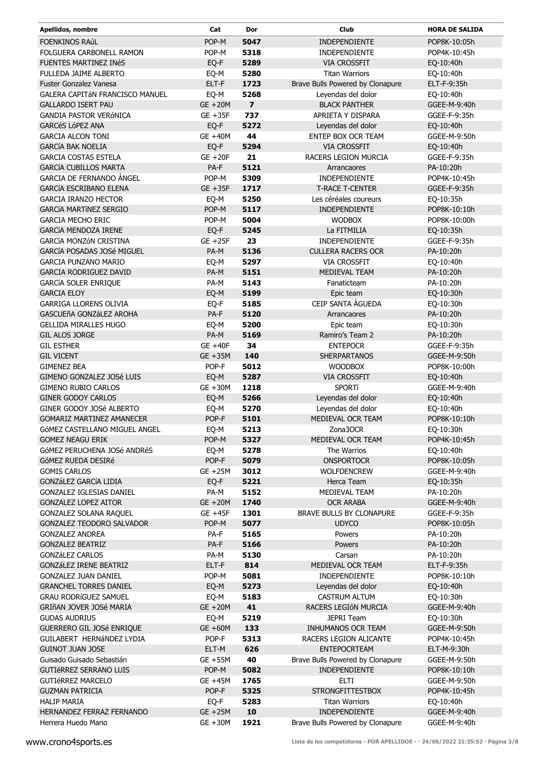| Apellidos, nombre                                          | Cat                | Dor            | Club                                     | <b>HORA DE SALIDA</b>        |
|------------------------------------------------------------|--------------------|----------------|------------------------------------------|------------------------------|
| <b>FOENKINOS RAÚL</b>                                      | POP-M              | 5047           | INDEPENDIENTE                            | POP8K-10:05h                 |
| <b>FOLGUERA CARBONELL RAMON</b>                            | POP-M              | 5318           | <b>INDEPENDIENTE</b>                     | POP4K-10:45h                 |
| <b>FUENTES MARTINEZ INÉS</b>                               | EQ-F               | 5289           | <b>VIA CROSSFIT</b>                      | EQ-10:40h                    |
| FULLEDA JAIME ALBERTO                                      | EQ-M               | 5280           | <b>Titan Warriors</b>                    | EQ-10:40h                    |
| <b>Fuster Gonzalez Vanesa</b>                              | ELT-F              | 1723           | Brave Bulls Powered by Clonapure         | ELT-F-9:35h                  |
| <b>GALERA CAPITÁN FRANCISCO MANUEL</b>                     | EQ-M               | 5268           | Leyendas del dolor                       | EQ-10:40h                    |
| <b>GALLARDO ISERT PAU</b>                                  | GE +20M            | $\overline{ }$ | <b>BLACK PANTHER</b>                     | GGEE-M-9:40h                 |
| <b>GANDIA PASTOR VERÓNICA</b>                              | $GE + 35F$         | 737            | APRIETA Y DISPARA                        | GGEE-F-9:35h                 |
| <b>GARCéS LÓPEZ ANA</b>                                    | EQ-F               | 5272           | Leyendas del dolor                       | EQ-10:40h                    |
| <b>GARCIA ALCON TONI</b>                                   | GE +40M            | 44             | ENTEP BOX OCR TEAM                       | GGEE-M-9:50h                 |
| <b>GARCÍA BAK NOELIA</b>                                   | EQ-F               | 5294           | <b>VIA CROSSFIT</b>                      | EQ-10:40h                    |
| <b>GARCIA COSTAS ESTELA</b>                                | GE +20F            | 21             | RACERS LEGION MURCIA                     | GGEE-F-9:35h                 |
| <b>GARCÍA CUBILLOS MARTA</b>                               | PA-F               | 5121           | Arrancaores                              | PA-10:20h                    |
| <b>GARCIA DE FERNANDO ÁNGEL</b>                            | POP-M              | 5309           | INDEPENDIENTE                            | POP4K-10:45h                 |
| <b>GARCÍA ESCRIBANO ELENA</b>                              | GE +35F            | 1717           | <b>T-RACE T-CENTER</b>                   | GGEE-F-9:35h                 |
| <b>GARCIA IRANZO HECTOR</b>                                | EQ-M               | 5250           | Les céréales coureurs                    | EQ-10:35h                    |
| <b>GARCÍA MARTÍNEZ SERGIO</b>                              | POP-M              | 5117           | INDEPENDIENTE                            | POP8K-10:10h                 |
| <b>GARCIA MECHO ERIC</b>                                   | POP-M              | 5004           | <b>WODBOX</b>                            | POP8K-10:00h                 |
| GARCÍA MENDOZA IRENE                                       | EQ-F               | 5245           | La FITMILIA                              | EQ-10:35h                    |
| <b>GARCÍA MONZÓN CRISTINA</b>                              | $GE + 25F$         | 23             | <b>INDEPENDIENTE</b>                     | GGEE-F-9:35h                 |
| GARCÍA POSADAS JOSé MIGUEL                                 | PA-M               | 5136           | <b>CULLERA RACERS OCR</b>                | PA-10:20h                    |
| <b>GARCIA PUNZANO MARIO</b>                                | EQ-M               | 5297           | <b>VIA CROSSFIT</b>                      | EQ-10:40h                    |
| <b>GARCIA RODRIGUEZ DAVID</b>                              | PA-M               | 5151           | MEDIEVAL TEAM                            | PA-10:20h                    |
| <b>GARCÍA SOLER ENRIQUE</b>                                | PA-M               | 5143           | Fanaticteam                              | PA-10:20h                    |
| <b>GARCIA ELOY</b>                                         | EQ-M               | 5199           | Epic team                                | EQ-10:30h                    |
| <b>GARRIGA LLORENS OLIVIA</b>                              | EQ-F               | 5185           | CEIP SANTA AGUEDA                        | EQ-10:30h                    |
| GASCUEñA GONZáLEZ AROHA                                    | PA-F               | 5120           | Arrancaores                              | PA-10:20h                    |
| <b>GELLIDA MIRALLES HUGO</b>                               | EQ-M               | 5200           | Epic team                                | EQ-10:30h                    |
| <b>GIL ALOS JORGE</b>                                      | PA-M               | 5169           | Ramiro's Team 2                          | PA-10:20h                    |
| <b>GIL ESTHER</b>                                          | GE +40F            | 34             | <b>ENTEPOCR</b>                          | GGEE-F-9:35h                 |
| <b>GIL VICENT</b>                                          | GE +35M            | 140            | <b>SHERPARTANOS</b>                      | GGEE-M-9:50h                 |
| <b>GIMENEZ BEA</b>                                         | POP-F              | 5012           | <b>WOODBOX</b>                           | POP8K-10:00h                 |
| GIMENO GONZALEZ JOSé LUIS                                  | EQ-M               | 5287           | <b>VIA CROSSFIT</b>                      | EQ-10:40h                    |
| <b>GIMENO RUBIO CARLOS</b>                                 | GE +30M            | 1218           | <b>SPORTÍ</b>                            | GGEE-M-9:40h                 |
| <b>GINER GODOY CARLOS</b>                                  | EQ-M               | 5266           | Leyendas del dolor                       | EQ-10:40h                    |
| GINER GODOY JOSé ALBERTO                                   |                    | 5270           | Leyendas del dolor                       | EQ-10:40h                    |
| <b>GOMARIZ MARTINEZ AMANECER</b>                           | EQ-M<br>POP-F      | 5101           | MEDIEVAL OCR TEAM                        | POP8K-10:10h                 |
| GóMEZ CASTELLANO MIGUEL ANGEL                              | EQ-M               | 5213           | Zona3OCR                                 | EQ-10:30h                    |
| <b>GOMEZ NEAGU ERIK</b>                                    | POP-M              | 5327           | MEDIEVAL OCR TEAM                        | POP4K-10:45h                 |
| GÓMEZ PERUCHENA JOSé ANDRéS                                | EQ-M               | 5278           | The Warrios                              | EQ-10:40h                    |
| GÓMEZ RUEDA DESIRÉ                                         | POP-F              | 5079           | <b>ONSPORTOCR</b>                        | POP8K-10:05h                 |
| <b>GOMIS CARLOS</b>                                        | GE +25M            | 3012           | <b>WOLFDENCREW</b>                       | GGEE-M-9:40h                 |
| GONZáLEZ GARCÍA LIDIA                                      |                    | 5221           | Herca Team                               |                              |
| GONZALEZ IGLESIAS DANIEL                                   | EQ-F<br>PA-M       |                | MEDIEVAL TEAM                            | EQ-10:35h<br>PA-10:20h       |
|                                                            |                    | 5152           |                                          |                              |
| <b>GONZALEZ LOPEZ AITOR</b>                                | $GE + 20M$         | 1740           | <b>OCR ARABA</b>                         | GGEE-M-9:40h                 |
| GONZALEZ SOLANA RAQUEL<br><b>GONZALEZ TEODORO SALVADOR</b> | $GE +45F$<br>POP-M | 1301<br>5077   | BRAVE BULLS BY CLONAPURE<br><b>UDYCO</b> | GGEE-F-9:35h<br>POP8K-10:05h |
|                                                            |                    | 5165           |                                          |                              |
| <b>GONZALEZ ANDREA</b>                                     | PA-F               |                | Powers                                   | PA-10:20h                    |
| <b>GONZALEZ BEATRIZ</b>                                    | PA-F               | 5166           | Powers                                   | PA-10:20h                    |
| <b>GONZÁLEZ CARLOS</b>                                     | PA-M               | 5130           | Carsan                                   | PA-10:20h                    |
| GONZáLEZ IRENE BEATRIZ                                     | ELT-F              | 814            | MEDIEVAL OCR TEAM                        | ELT-F-9:35h                  |
| <b>GONZALEZ JUAN DANIEL</b>                                | POP-M              | 5081           | INDEPENDIENTE                            | POP8K-10:10h                 |
| <b>GRANCHEL TORRES DANIEL</b>                              | EQ-M               | 5273           | Leyendas del dolor                       | EQ-10:40h                    |
| <b>GRAU RODRÍGUEZ SAMUEL</b>                               | EQ-M               | 5183           | <b>CASTRUM ALTUM</b>                     | EQ-10:30h                    |
| GRIñAN JOVER JOSé MARIA                                    | GE +20M            | 41             | RACERS LEGIÓN MURCIA                     | GGEE-M-9:40h                 |
| <b>GUDAS AUDRIUS</b>                                       | EQ-M               | 5219           | <b>JEPRI Team</b>                        | EQ-10:30h                    |
| GUERRERO GIL JOSé ENRIQUE                                  | $GE + 60M$         | 133            | INHUMANOS OCR TEAM                       | GGEE-M-9:50h                 |
| GUILABERT HERNÁNDEZ LYDIA                                  | POP-F              | 5313           | RACERS LEGION ALICANTE                   | POP4K-10:45h                 |
| <b>GUINOT JUAN JOSE</b>                                    | ELT-M              | 626            | <b>ENTEPOCRTEAM</b>                      | ELT-M-9:30h                  |
| Guisado Guisado Sebastián                                  | GE +55M            | 40             | Brave Bulls Powered by Clonapure         | GGEE-M-9:50h                 |
| <b>GUTIÉRREZ SERRANO LUIS</b>                              | POP-M              | 5082           | INDEPENDIENTE                            | POP8K-10:10h                 |
| <b>GUTIÉRREZ MARCELO</b>                                   | GE +45M            | 1765           | <b>ELTI</b>                              | GGEE-M-9:50h                 |
| <b>GUZMAN PATRICIA</b>                                     | POP-F              | 5325           | <b>STRONGFITTESTBOX</b>                  | POP4K-10:45h                 |
| <b>HALIP MARIA</b>                                         | EQ-F               | 5283           | <b>Titan Warriors</b>                    | EQ-10:40h                    |
| HERNANDEZ FERRAZ FERNANDO                                  | $GE + 25M$         | 10             | INDEPENDIENTE                            | GGEE-M-9:40h                 |
| Herrera Huedo Mario                                        | GE +30M            | 1921           | Brave Bulls Powered by Clonapure         | GGEE-M-9:40h                 |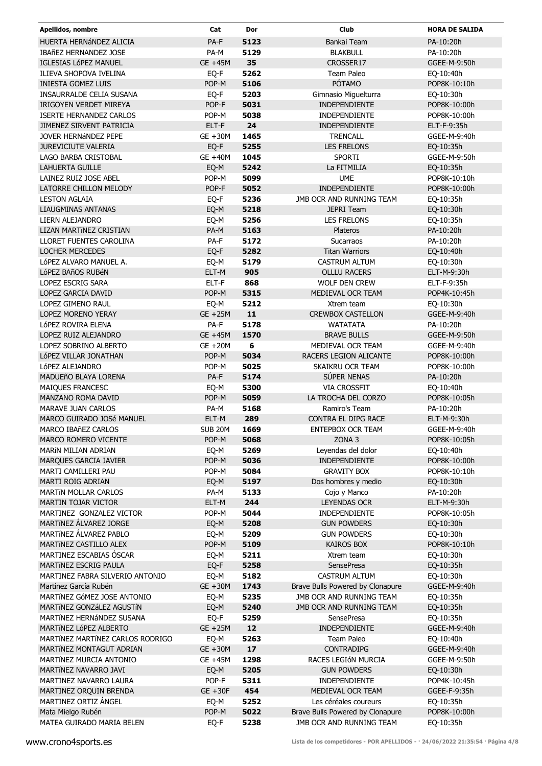| Apellidos, nombre                | Cat        | Dor  | <b>Club</b>                      | <b>HORA DE SALIDA</b> |
|----------------------------------|------------|------|----------------------------------|-----------------------|
| HUERTA HERNÁNDEZ ALICIA          | PA-F       | 5123 | Bankai Team                      | PA-10:20h             |
| IBAñEZ HERNANDEZ JOSE            | PA-M       | 5129 | <b>BLAKBULL</b>                  | PA-10:20h             |
| IGLESIAS LÓPEZ MANUEL            | GE +45M    | 35   | CROSSER17                        | GGEE-M-9:50h          |
| ILIEVA SHOPOVA IVELINA           | EQ-F       | 5262 | Team Paleo                       | EQ-10:40h             |
| <b>INIESTA GOMEZ LUIS</b>        | POP-M      | 5106 | PÓTAMO                           | POP8K-10:10h          |
| INSAURRALDE CELIA SUSANA         | EQ-F       | 5203 | Gimnasio Miguelturra             | EQ-10:30h             |
| IRIGOYEN VERDET MIREYA           | POP-F      | 5031 | <b>INDEPENDIENTE</b>             | POP8K-10:00h          |
| <b>ISERTE HERNANDEZ CARLOS</b>   | POP-M      | 5038 | INDEPENDIENTE                    | POP8K-10:00h          |
| JIMENEZ SIRVENT PATRICIA         | ELT-F      | 24   | <b>INDEPENDIENTE</b>             | ELT-F-9:35h           |
| JOVER HERNÁNDEZ PEPE             | GE +30M    | 1465 | <b>TRENCALL</b>                  | GGEE-M-9:40h          |
| <b>JUREVICIUTE VALERIA</b>       | EQ-F       | 5255 | <b>LES FRELONS</b>               | EQ-10:35h             |
| LAGO BARBA CRISTOBAL             | GE +40M    | 1045 | <b>SPORTI</b>                    | GGEE-M-9:50h          |
| LAHUERTA GUILLE                  | EQ-M       | 5242 | La FITMILIA                      | EQ-10:35h             |
| LAINEZ RUIZ JOSE ABEL            | POP-M      | 5099 | <b>UME</b>                       | POP8K-10:10h          |
| LATORRE CHILLON MELODY           | POP-F      | 5052 | INDEPENDIENTE                    | POP8K-10:00h          |
| <b>LESTON AGLAIA</b>             | EQ-F       | 5236 | JMB OCR AND RUNNING TEAM         | EQ-10:35h             |
| <b>LIAUGMINAS ANTANAS</b>        | EQ-M       | 5218 | <b>JEPRI Team</b>                | EQ-10:30h             |
| LIERN ALEJANDRO                  | EQ-M       | 5256 | <b>LES FRELONS</b>               | EQ-10:35h             |
| LIZAN MARTÍNEZ CRISTIAN          | PA-M       | 5163 | Plateros                         | PA-10:20h             |
| <b>LLORET FUENTES CAROLINA</b>   | PA-F       | 5172 | <b>Sucarraos</b>                 | PA-10:20h             |
| <b>LOCHER MERCEDES</b>           | EQ-F       | 5282 | <b>Titan Warriors</b>            | EQ-10:40h             |
| LÓPEZ ALVARO MANUEL A.           | EQ-M       | 5179 | <b>CASTRUM ALTUM</b>             | EQ-10:30h             |
| LÓPEZ BAÑOS RUBÉN                | ELT-M      | 905  | <b>OLLLU RACERS</b>              | ELT-M-9:30h           |
| LOPEZ ESCRIG SARA                | ELT-F      | 868  | <b>WOLF DEN CREW</b>             | ELT-F-9:35h           |
| LOPEZ GARCIA DAVID               | POP-M      | 5315 | MEDIEVAL OCR TEAM                | POP4K-10:45h          |
| LOPEZ GIMENO RAUL                | EQ-M       | 5212 | Xtrem team                       | EQ-10:30h             |
| LOPEZ MORENO YERAY               | GE +25M    | 11   | <b>CREWBOX CASTELLON</b>         | GGEE-M-9:40h          |
| LÓPEZ ROVIRA ELENA               | PA-F       | 5178 | <b>WATATATA</b>                  | PA-10:20h             |
| LOPEZ RUIZ ALEJANDRO             | GE +45M    | 1570 | <b>BRAVE BULLS</b>               | GGEE-M-9:50h          |
| LOPEZ SOBRINO ALBERTO            | GE +20M    | 6    | MEDIEVAL OCR TEAM                | GGEE-M-9:40h          |
| LÓPEZ VILLAR JONATHAN            | POP-M      | 5034 | RACERS LEGION ALICANTE           | POP8K-10:00h          |
| LÓPEZ ALEJANDRO                  | POP-M      | 5025 | SKAIKRU OCR TEAM                 | POP8K-10:00h          |
| MADUEñO BLAYA LORENA             | PA-F       | 5174 | SÚPER NENAS                      | PA-10:20h             |
| MAIQUES FRANCESC                 | EQ-M       | 5300 | <b>VIA CROSSFIT</b>              | EQ-10:40h             |
| MANZANO ROMA DAVID               | POP-M      | 5059 | LA TROCHA DEL CORZO              | POP8K-10:05h          |
| MARAVE JUAN CARLOS               | PA-M       | 5168 | Ramiro's Team                    | PA-10:20h             |
| MARCO GUIRADO JOSé MANUEL        | ELT-M      | 289  | CONTRA EL DIPG RACE              | ELT-M-9:30h           |
| <b>MARCO IBAñEZ CARLOS</b>       | SUB 20M    | 1669 | <b>ENTEPBOX OCR TEAM</b>         | GGEE-M-9:40h          |
| MARCO ROMERO VICENTE             | POP-M      | 5068 | ZONA <sub>3</sub>                | POP8K-10:05h          |
| MARÍN MILIAN ADRIAN              | EQ-M       | 5269 | Leyendas del dolor               | EQ-10:40h             |
| MARQUES GARCIA JAVIER            | POP-M      | 5036 | <b>INDEPENDIENTE</b>             | POP8K-10:00h          |
| MARTI CAMILLERI PAU              | POP-M      | 5084 | <b>GRAVITY BOX</b>               | POP8K-10:10h          |
| MARTI ROIG ADRIAN                | EQ-M       | 5197 | Dos hombres y medio              | EQ-10:30h             |
| <b>MARTÍN MOLLAR CARLOS</b>      | PA-M       | 5133 | Cojo y Manco                     | PA-10:20h             |
| <b>MARTIN TOJAR VICTOR</b>       | ELT-M      | 244  | LEYENDAS OCR                     | ELT-M-9:30h           |
| MARTINEZ GONZALEZ VICTOR         | POP-M      | 5044 | <b>INDEPENDIENTE</b>             | POP8K-10:05h          |
| MARTÍNEZ ÁLVAREZ JORGE           | EQ-M       | 5208 | <b>GUN POWDERS</b>               | EQ-10:30h             |
| MARTÍNEZ ÁLVAREZ PABLO           | EQ-M       | 5209 | <b>GUN POWDERS</b>               | EQ-10:30h             |
| MARTÍNEZ CASTILLO ALEX           | POP-M      | 5109 | <b>KAIROS BOX</b>                | POP8K-10:10h          |
| MARTINEZ ESCABIAS ÓSCAR          | EQ-M       | 5211 | Xtrem team                       | EQ-10:30h             |
| MARTÍNEZ ESCRIG PAULA            | EQ-F       | 5258 | <b>SensePresa</b>                | EQ-10:35h             |
| MARTINEZ FABRA SILVERIO ANTONIO  | EQ-M       | 5182 | <b>CASTRUM ALTUM</b>             | EQ-10:30h             |
| Martínez García Rubén            | GE +30M    | 1743 | Brave Bulls Powered by Clonapure | GGEE-M-9:40h          |
| MARTÍNEZ GÓMEZ JOSE ANTONIO      | EQ-M       | 5235 | JMB OCR AND RUNNING TEAM         | EQ-10:35h             |
| MARTÍNEZ GONZÁLEZ AGUSTÍN        | EQ-M       | 5240 | JMB OCR AND RUNNING TEAM         | EQ-10:35h             |
| MARTÍNEZ HERNÁNDEZ SUSANA        | EQ-F       | 5259 | <b>SensePresa</b>                | EQ-10:35h             |
| MARTÍNEZ LÓPEZ ALBERTO           | $GE + 25M$ | 12   | INDEPENDIENTE                    | GGEE-M-9:40h          |
| MARTÍNEZ MARTÍNEZ CARLOS RODRIGO | EQ-M       | 5263 | Team Paleo                       | EQ-10:40h             |
| MARTÍNEZ MONTAGUT ADRIAN         | GE +30M    | $17$ | <b>CONTRADIPG</b>                | GGEE-M-9:40h          |
| MARTÍNEZ MURCIA ANTONIO          | GE +45M    | 1298 | RACES LEGIÓN MURCIA              | GGEE-M-9:50h          |
| MARTÍNEZ NAVARRO JAVI            | EQ-M       | 5205 | <b>GUN POWDERS</b>               | EQ-10:30h             |
| MARTINEZ NAVARRO LAURA           | POP-F      | 5311 | INDEPENDIENTE                    | POP4K-10:45h          |
| MARTINEZ ORQUIN BRENDA           | $GE + 30F$ | 454  | MEDIEVAL OCR TEAM                | GGEE-F-9:35h          |
| MARTINEZ ORTIZ ÁNGEL             | EQ-M       | 5252 | Les céréales coureurs            | EQ-10:35h             |
| Mata Mielgo Rubén                | POP-M      | 5022 | Brave Bulls Powered by Clonapure | POP8K-10:00h          |
| MATEA GUIRADO MARIA BELEN        | EQ-F       | 5238 | JMB OCR AND RUNNING TEAM         | EQ-10:35h             |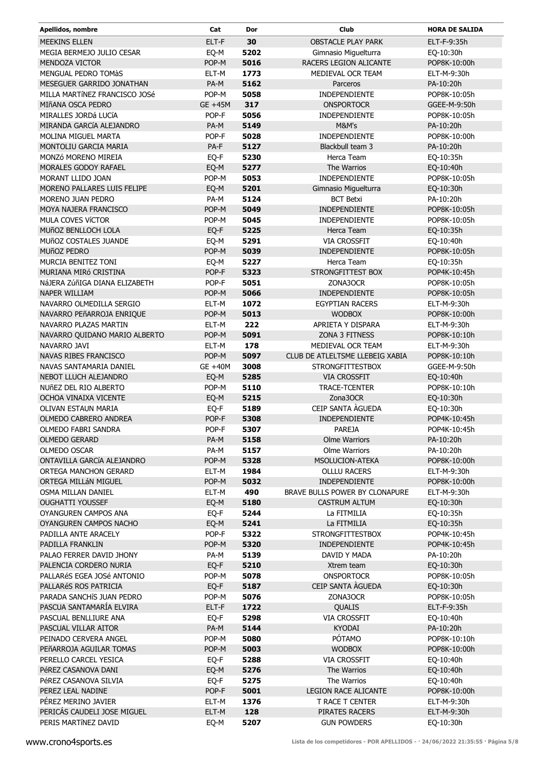| Apellidos, nombre                                   | Cat           | Dor          | Club                               | <b>HORA DE SALIDA</b>     |
|-----------------------------------------------------|---------------|--------------|------------------------------------|---------------------------|
| <b>MEEKINS ELLEN</b>                                | ELT-F         | 30           | <b>OBSTACLE PLAY PARK</b>          | ELT-F-9:35h               |
| MEGIA BERMEJO JULIO CESAR                           | EQ-M          | 5202         | Gimnasio Miguelturra               | EQ-10:30h                 |
| <b>MENDOZA VICTOR</b>                               | POP-M         | 5016         | RACERS LEGION ALICANTE             | POP8K-10:00h              |
| <b>MENGUAL PEDRO TOMÀS</b>                          | ELT-M         | 1773         | MEDIEVAL OCR TEAM                  | ELT-M-9:30h               |
| MESEGUER GARRIDO JONATHAN                           | PA-M          | 5162         | Parceros                           | PA-10:20h                 |
| MILLA MARTÍNEZ FRANCISCO JOSé                       | POP-M         | 5058         | INDEPENDIENTE                      | POP8K-10:05h              |
| MIñANA OSCA PEDRO                                   | GE +45M       | 317          | <b>ONSPORTOCR</b>                  | GGEE-M-9:50h              |
| MIRALLES JORDá LUCÍA                                | POP-F         | 5056         | INDEPENDIENTE                      | POP8K-10:05h              |
| MIRANDA GARCÍA ALEJANDRO                            | PA-M          | 5149         | M&M's                              | PA-10:20h                 |
| <b>MOLINA MIGUEL MARTA</b>                          | POP-F         | 5028         | <b>INDEPENDIENTE</b>               | POP8K-10:00h              |
| MONTOLIU GARCIA MARIA                               | PA-F          | 5127         | Blackbull team 3                   | PA-10:20h                 |
| MONZÓ MORENO MIREIA                                 | EQ-F          | 5230         | Herca Team                         | EQ-10:35h                 |
| MORALES GODOY RAFAEL                                | EQ-M          | 5277         | The Warrios                        | EQ-10:40h                 |
| MORANT LLIDO JOAN                                   | POP-M         | 5053         | <b>INDEPENDIENTE</b>               | POP8K-10:05h              |
| MORENO PALLARES LUIS FELIPE                         | EQ-M          | 5201         | Gimnasio Miguelturra               | EQ-10:30h                 |
| MORENO JUAN PEDRO                                   | PA-M          | 5124         | <b>BCT Betxi</b>                   | PA-10:20h                 |
| MOYA NAJERA FRANCISCO                               | POP-M         | 5049         | INDEPENDIENTE                      | POP8K-10:05h              |
| MULA COVES VÍCTOR                                   | POP-M         | 5045         | <b>INDEPENDIENTE</b>               | POP8K-10:05h              |
| MUñOZ BENLLOCH LOLA                                 | EQ-F          | 5225         | Herca Team                         | EQ-10:35h                 |
| <b>MUñOZ COSTALES JUANDE</b>                        | EQ-M          | 5291         | <b>VIA CROSSFIT</b>                | EQ-10:40h                 |
| MUñOZ PEDRO                                         | POP-M         | 5039         | INDEPENDIENTE                      | POP8K-10:05h              |
| <b>MURCIA BENITEZ TONI</b>                          | EQ-M          | 5227         | Herca Team                         | EQ-10:35h                 |
| MURIANA MIRÓ CRISTINA                               | POP-F         | 5323         | STRONGFITTEST BOX                  | POP4K-10:45h              |
| NáJERA ZúñIGA DIANA ELIZABETH                       | POP-F         | 5051         | ZONA3OCR                           | POP8K-10:05h              |
| <b>NAPER WILLIAM</b>                                | POP-M         | 5066         | INDEPENDIENTE                      | POP8K-10:05h              |
| NAVARRO OLMEDILLA SERGIO                            | ELT-M         | 1072         | <b>EGYPTIAN RACERS</b>             | ELT-M-9:30h               |
| NAVARRO PEñARROJA ENRIQUE                           | POP-M         | 5013         | <b>WODBOX</b>                      | POP8K-10:00h              |
| NAVARRO PLAZAS MARTIN                               | ELT-M         | 222          | APRIETA Y DISPARA                  | ELT-M-9:30h               |
| NAVARRO QUIDANO MARIO ALBERTO                       | POP-M         | 5091         | <b>ZONA 3 FITNESS</b>              | POP8K-10:10h              |
| NAVARRO JAVI                                        | ELT-M         | 178          | MEDIEVAL OCR TEAM                  | ELT-M-9:30h               |
| <b>NAVAS RIBES FRANCISCO</b>                        | POP-M         | 5097         | CLUB DE ATLELTSME LLEBEIG XABIA    | POP8K-10:10h              |
| NAVAS SANTAMARIA DANIEL                             | GE +40M       | 3008         | <b>STRONGFITTESTBOX</b>            | GGEE-M-9:50h              |
| NEBOT LLUCH ALEJANDRO                               | EQ-M          | 5285         | <b>VIA CROSSFIT</b>                | EQ-10:40h                 |
| NUÑEZ DEL RIO ALBERTO                               | POP-M         | 5110         | TRACE-TCENTER                      | POP8K-10:10h              |
| OCHOA VINAIXA VICENTE                               | EQ-M          | 5215         | Zona3OCR                           | EQ-10:30h                 |
| <b>OLIVAN ESTAUN MARIA</b><br>OLMEDO CABRERO ANDREA | EQ-F<br>POP-F | 5189<br>5308 | CEIP SANTA AGUEDA<br>INDEPENDIENTE | EQ-10:30h<br>POP4K-10:45h |
| OLMEDO FABRI SANDRA                                 | POP-F         | 5307         | <b>PAREJA</b>                      | POP4K-10:45h              |
| <b>OLMEDO GERARD</b>                                | PA-M          | 5158         | <b>Olme Warriors</b>               | PA-10:20h                 |
| OLMEDO OSCAR                                        | PA-M          | 5157         | <b>Olme Warriors</b>               | PA-10:20h                 |
| ONTAVILLA GARCÍA ALEJANDRO                          | POP-M         | 5328         | MSOLUCION-ATEKA                    | POP8K-10:00h              |
| ORTEGA MANCHON GERARD                               | ELT-M         | 1984         | <b>OLLLU RACERS</b>                | ELT-M-9:30h               |
| ORTEGA MILLÁN MIGUEL                                | POP-M         | 5032         | INDEPENDIENTE                      | POP8K-10:00h              |
| OSMA MILLAN DANIEL                                  | ELT-M         | 490          | BRAVE BULLS POWER BY CLONAPURE     | ELT-M-9:30h               |
| <b>OUGHATTI YOUSSEF</b>                             | EQ-M          | 5180         | <b>CASTRUM ALTUM</b>               | EQ-10:30h                 |
| OYANGUREN CAMPOS ANA                                | EQ-F          | 5244         | La FITMILIA                        | EQ-10:35h                 |
| OYANGUREN CAMPOS NACHO                              | EQ-M          | 5241         | La FITMILIA                        | EQ-10:35h                 |
| PADILLA ANTE ARACELY                                | POP-F         | 5322         | <b>STRONGFITTESTBOX</b>            | POP4K-10:45h              |
| PADILLA FRANKLIN                                    | POP-M         | 5320         | INDEPENDIENTE                      | POP4K-10:45h              |
| PALAO FERRER DAVID JHONY                            | PA-M          | 5139         | DAVID Y MADA                       | PA-10:20h                 |
| PALENCIA CORDERO NURIA                              | EQ-F          | 5210         | Xtrem team                         | EQ-10:30h                 |
| PALLARÉS EGEA JOSÉ ANTONIO                          | POP-M         | 5078         | <b>ONSPORTOCR</b>                  | POP8K-10:05h              |
| PALLARÉS ROS PATRICIA                               | EQ-F          | 5187         | CEIP SANTA AGUEDA                  | EQ-10:30h                 |
| PARADA SANCHÍS JUAN PEDRO                           | POP-M         | 5076         | ZONA3OCR                           | POP8K-10:05h              |
| PASCUA SANTAMARÍA ELVIRA                            | ELT-F         | 1722         | QUALIS                             | ELT-F-9:35h               |
| PASCUAL BENLLIURE ANA                               | EQ-F          | 5298         | <b>VIA CROSSFIT</b>                | EQ-10:40h                 |
| PASCUAL VILLAR AITOR                                | PA-M          | 5144         | KYODAI                             | PA-10:20h                 |
| PEINADO CERVERA ANGEL                               | POP-M         | 5080         | PÓTAMO                             | POP8K-10:10h              |
| PEñARROJA AGUILAR TOMAS                             | POP-M         | 5003         | <b>WODBOX</b>                      | POP8K-10:00h              |
| PERELLO CARCEL YESICA                               | EQ-F          | 5288         | <b>VIA CROSSFIT</b>                | EQ-10:40h                 |
| PéREZ CASANOVA DANI                                 | EQ-M          | 5276         | The Warrios                        | EQ-10:40h                 |
| PéREZ CASANOVA SILVIA                               | EQ-F          | 5275         | The Warrios                        | EQ-10:40h                 |
| PEREZ LEAL NADINE                                   | POP-F         | 5001         | <b>LEGION RACE ALICANTE</b>        | POP8K-10:00h              |
| PÉREZ MERINO JAVIER                                 | ELT-M         | 1376         | T RACE T CENTER                    | ELT-M-9:30h               |
| PERICÁS CAUDELI JOSE MIGUEL                         | ELT-M         | 128          | PIRATES RACERS                     | ELT-M-9:30h               |
| PERIS MARTÍNEZ DAVID                                | EQ-M          | 5207         | <b>GUN POWDERS</b>                 | EQ-10:30h                 |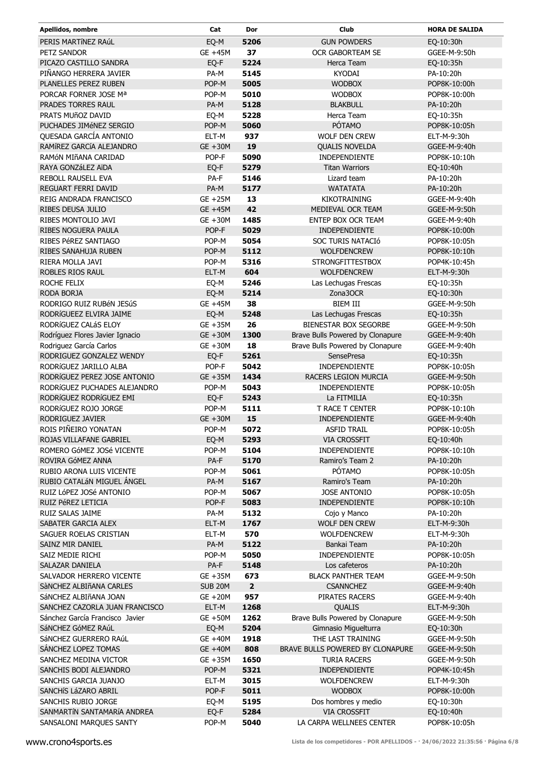| Apellidos, nombre               | Cat        | Dor                     | Club                             | <b>HORA DE SALIDA</b> |
|---------------------------------|------------|-------------------------|----------------------------------|-----------------------|
| PERIS MARTÍNEZ RAÚL             | EQ-M       | 5206                    | <b>GUN POWDERS</b>               | EQ-10:30h             |
| PETZ SANDOR                     | GE +45M    | 37                      | OCR GABORTEAM SE                 | GGEE-M-9:50h          |
| PICAZO CASTILLO SANDRA          | EQ-F       | 5224                    | Herca Team                       | EQ-10:35h             |
| PIÑANGO HERRERA JAVIER          | PA-M       | 5145                    | KYODAI                           | PA-10:20h             |
| PLANELLES PEREZ RUBEN           | POP-M      | 5005                    | <b>WODBOX</b>                    | POP8K-10:00h          |
| PORCAR FORNER JOSE Mª           | POP-M      | 5010                    | <b>WODBOX</b>                    | POP8K-10:00h          |
| PRADES TORRES RAUL              | PA-M       | 5128                    | <b>BLAKBULL</b>                  | PA-10:20h             |
| PRATS MUñOZ DAVID               | EQ-M       | 5228                    | Herca Team                       | EQ-10:35h             |
| PUCHADES JIMÉNEZ SERGIO         | POP-M      | 5060                    | PÓTAMO                           | POP8K-10:05h          |
| QUESADA GARCÍA ANTONIO          | ELT-M      | 937                     | WOLF DEN CREW                    | ELT-M-9:30h           |
| RAMÍREZ GARCÍA ALEJANDRO        | GE +30M    | 19                      | <b>QUALIS NOVELDA</b>            | GGEE-M-9:40h          |
| RAMÓN MIñANA CARIDAD            | POP-F      | 5090                    | INDEPENDIENTE                    | POP8K-10:10h          |
| RAYA GONZáLEZ AïDA              | EQ-F       | 5279                    | <b>Titan Warriors</b>            | EQ-10:40h             |
| REBOLL RAUSELL EVA              | PA-F       | 5146                    | Lizard team                      | PA-10:20h             |
| REGUART FERRI DAVID             | PA-M       | 5177                    | <b>WATATATA</b>                  | PA-10:20h             |
| REIG ANDRADA FRANCISCO          | $GE + 25M$ | 13                      | <b>KIKOTRAINING</b>              | GGEE-M-9:40h          |
| <b>RIBES DEUSA JULIO</b>        | GE +45M    | 42                      | MEDIEVAL OCR TEAM                | GGEE-M-9:50h          |
| RIBES MONTOLIO JAVI             | GE +30M    | 1485                    | ENTEP BOX OCR TEAM               | GGEE-M-9:40h          |
| <b>RIBES NOGUERA PAULA</b>      | POP-F      | 5029                    | INDEPENDIENTE                    | POP8K-10:00h          |
| RIBES PéREZ SANTIAGO            | POP-M      | 5054                    | SOC TURIS NATACIÓ                | POP8K-10:05h          |
| RIBES SANAHUJA RUBEN            | POP-M      | 5112                    | <b>WOLFDENCREW</b>               | POP8K-10:10h          |
| RIERA MOLLA JAVI                | POP-M      | 5316                    | <b>STRONGFITTESTBOX</b>          | POP4K-10:45h          |
|                                 |            |                         | <b>WOLFDENCREW</b>               |                       |
| ROBLES RIOS RAUL                | ELT-M      | 604<br>5246             |                                  | ELT-M-9:30h           |
| ROCHE FELIX                     | EQ-M       |                         | Las Lechugas Frescas             | EQ-10:35h             |
| RODA BORJA                      | EQ-M       | 5214                    | Zona3OCR                         | EQ-10:30h             |
| RODRIGO RUIZ RUBÉN JESÚS        | GE +45M    | 38                      | <b>BIEM III</b>                  | GGEE-M-9:50h          |
| RODRÍGUEEZ ELVIRA JAIME         | EQ-M       | 5248                    | Las Lechugas Frescas             | EQ-10:35h             |
| RODRÍGUEZ CALÁS ELOY            | GE +35M    | 26                      | BIENESTAR BOX SEGORBE            | GGEE-M-9:50h          |
| Rodríguez Flores Javier Ignacio | GE +30M    | 1300                    | Brave Bulls Powered by Clonapure | GGEE-M-9:40h          |
| Rodriguez García Carlos         | GE +30M    | 18                      | Brave Bulls Powered by Clonapure | GGEE-M-9:40h          |
| RODRIGUEZ GONZALEZ WENDY        | EQ-F       | 5261                    | SensePresa                       | EQ-10:35h             |
| RODRÍGUEZ JARILLO ALBA          | POP-F      | 5042                    | <b>INDEPENDIENTE</b>             | POP8K-10:05h          |
| RODRÍGUEZ PEREZ JOSE ANTONIO    | GE +35M    | 1434                    | RACERS LEGION MURCIA             | GGEE-M-9:50h          |
| RODRÍGUEZ PUCHADES ALEJANDRO    | POP-M      | 5043                    | INDEPENDIENTE                    | POP8K-10:05h          |
| RODRÍGUEZ RODRÍGUEZ EMI         | EQ-F       | 5243                    | La FITMILIA                      | EQ-10:35h             |
| RODRÍGUEZ ROJO JORGE            | POP-M      | 5111                    | T RACE T CENTER                  | POP8K-10:10h          |
| RODRIGUEZ JAVIER                | $GE + 30M$ | 15                      | INDEPENDIENTE                    | GGEE-M-9:40h          |
| ROIS PIÑEIRO YONATAN            | POP-M      | 5072                    | <b>ASFID TRAIL</b>               | POP8K-10:05h          |
| ROJAS VILLAFANE GABRIEL         | EQ-M       | 5293                    | <b>VIA CROSSFIT</b>              | EQ-10:40h             |
| ROMERO GÓMEZ JOSé VICENTE       | POP-M      | 5104                    | INDEPENDIENTE                    | POP8K-10:10h          |
| ROVIRA GÓMEZ ANNA               | PA-F       | 5170                    | Ramiro's Team 2                  | PA-10:20h             |
| RUBIO ARONA LUIS VICENTE        | POP-M      | 5061                    | PÓTAMO                           | POP8K-10:05h          |
| RUBIO CATALÁN MIGUEL ÁNGEL      | PA-M       | 5167                    | Ramiro's Team                    | PA-10:20h             |
| RUIZ LÓPEZ JOSé ANTONIO         | POP-M      | 5067                    | <b>JOSE ANTONIO</b>              | POP8K-10:05h          |
| RUIZ PéREZ LETICIA              | POP-F      | 5083                    | INDEPENDIENTE                    | POP8K-10:10h          |
| RUIZ SALAS JAIME                | PA-M       | 5132                    | Cojo y Manco                     | PA-10:20h             |
| SABATER GARCIA ALEX             | ELT-M      | 1767                    | <b>WOLF DEN CREW</b>             | ELT-M-9:30h           |
| SAGUER ROELAS CRISTIAN          | ELT-M      | 570                     | <b>WOLFDENCREW</b>               | ELT-M-9:30h           |
| SAINZ MIR DANIEL                | PA-M       | 5122                    | Bankai Team                      | PA-10:20h             |
| SAIZ MEDIE RICHI                | POP-M      | 5050                    | INDEPENDIENTE                    | POP8K-10:05h          |
| SALAZAR DANIELA                 | PA-F       | 5148                    | Los cafeteros                    | PA-10:20h             |
| SALVADOR HERRERO VICENTE        | GE +35M    | 673                     | <b>BLACK PANTHER TEAM</b>        | GGEE-M-9:50h          |
| SàNCHEZ ALBIÑANA CARLES         | SUB 20M    | $\overline{\mathbf{2}}$ | <b>CSANNCHEZ</b>                 | GGEE-M-9:40h          |
| SÁNCHEZ ALBIÑANA JOAN           | $GE + 20M$ | 957                     | PIRATES RACERS                   | GGEE-M-9:40h          |
| SANCHEZ CAZORLA JUAN FRANCISCO  | ELT-M      | 1268                    | QUALIS                           | ELT-M-9:30h           |
| Sánchez García Francisco Javier | GE +50M    | 1262                    | Brave Bulls Powered by Clonapure | GGEE-M-9:50h          |
| SáNCHEZ GóMEZ RAúL              | EQ-M       | 5204                    | Gimnasio Miguelturra             | EQ-10:30h             |
| SÁNCHEZ GUERRERO RAÚL           | GE +40M    | 1918                    | THE LAST TRAINING                | GGEE-M-9:50h          |
| SANCHEZ LOPEZ TOMAS             | GE +40M    | 808                     | BRAVE BULLS POWERED BY CLONAPURE | GGEE-M-9:50h          |
| SANCHEZ MEDINA VICTOR           | GE +35M    | 1650                    | <b>TURIA RACERS</b>              | GGEE-M-9:50h          |
| SANCHIS BODI ALEJANDRO          | POP-M      | 5321                    | INDEPENDIENTE                    | POP4K-10:45h          |
| SANCHIS GARCIA JUANJO           | ELT-M      | 3015                    | <b>WOLFDENCREW</b>               | ELT-M-9:30h           |
| SANCHÍS LÁZARO ABRIL            | POP-F      | 5011                    | <b>WODBOX</b>                    | POP8K-10:00h          |
| SANCHIS RUBIO JORGE             | EQ-M       | 5195                    | Dos hombres y medio              | EQ-10:30h             |
| SANMARTÍN SANTAMARÍA ANDREA     | EQ-F       | 5284                    | <b>VIA CROSSFIT</b>              | EQ-10:40h             |
| SANSALONI MARQUES SANTY         | POP-M      | 5040                    | LA CARPA WELLNEES CENTER         | POP8K-10:05h          |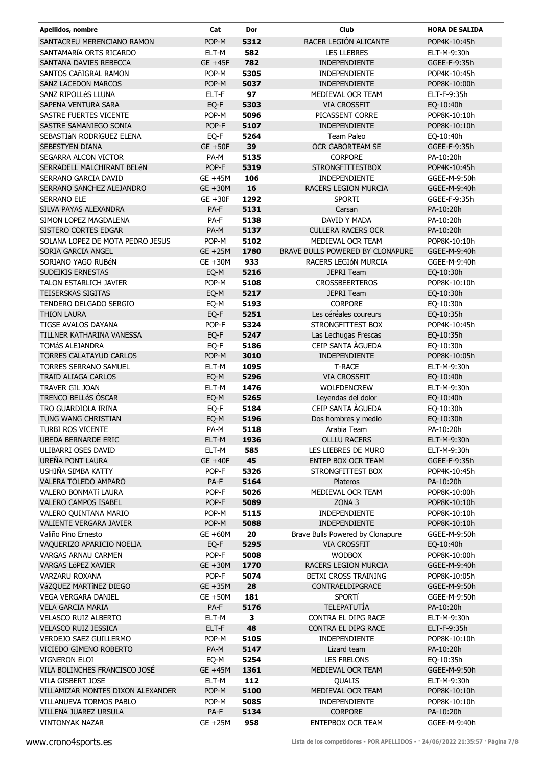| Apellidos, nombre                 | Cat            | Dor  | <b>Club</b>                      | <b>HORA DE SALIDA</b> |
|-----------------------------------|----------------|------|----------------------------------|-----------------------|
| SANTACREU MERENCIANO RAMON        | POP-M          | 5312 | RACER LEGIÓN ALICANTE            | POP4K-10:45h          |
| SANTAMARÍA ORTS RICARDO           | ELT-M          | 582  | <b>LES LLEBRES</b>               | ELT-M-9:30h           |
| SANTANA DAVIES REBECCA            | GE +45F        | 782  | INDEPENDIENTE                    | GGEE-F-9:35h          |
| SANTOS CAñIGRAL RAMON             | POP-M          | 5305 | INDEPENDIENTE                    | POP4K-10:45h          |
| SANZ LACEDON MARCOS               | POP-M          | 5037 | <b>INDEPENDIENTE</b>             | POP8K-10:00h          |
| SANZ RIPOLLÉS LLUNA               | ELT-F          | 97   | MEDIEVAL OCR TEAM                | ELT-F-9:35h           |
| SAPENA VENTURA SARA               | EQ-F           | 5303 | <b>VIA CROSSFIT</b>              | EQ-10:40h             |
| SASTRE FUERTES VICENTE            | POP-M          | 5096 | PICASSENT CORRE                  | POP8K-10:10h          |
| SASTRE SAMANIEGO SONIA            | POP-F          | 5107 | <b>INDEPENDIENTE</b>             | POP8K-10:10h          |
| SEBASTIÁN RODRÍGUEZ ELENA         | EQ-F           | 5264 | Team Paleo                       | EQ-10:40h             |
| <b>SEBESTYEN DIANA</b>            | $GE + 50F$     | 39   | <b>OCR GABORTEAM SE</b>          | GGEE-F-9:35h          |
| SEGARRA ALCON VICTOR              | PA-M           | 5135 | <b>CORPORE</b>                   | PA-10:20h             |
| SERRADELL MALCHIRANT BELÉN        | POP-F          | 5319 | <b>STRONGFITTESTBOX</b>          | POP4K-10:45h          |
| SERRANO GARCIA DAVID              | GE +45M        | 106  | INDEPENDIENTE                    | GGEE-M-9:50h          |
| SERRANO SANCHEZ ALEJANDRO         | GE +30M        | 16   | RACERS LEGION MURCIA             | GGEE-M-9:40h          |
| SERRANO ELE                       | $GE + 30F$     | 1292 | <b>SPORTI</b>                    | GGEE-F-9:35h          |
| SILVA PAYAS ALEXANDRA             | PA-F           | 5131 | Carsan                           | PA-10:20h             |
| SIMON LOPEZ MAGDALENA             | PA-F           | 5138 | DAVID Y MADA                     | PA-10:20h             |
| SISTERO CORTES EDGAR              | PA-M           | 5137 | <b>CULLERA RACERS OCR</b>        | PA-10:20h             |
| SOLANA LOPEZ DE MOTA PEDRO JESUS  | POP-M          | 5102 | MEDIEVAL OCR TEAM                | POP8K-10:10h          |
| SORIA GARCIA ANGEL                | $GE + 25M$     | 1780 | BRAVE BULLS POWERED BY CLONAPURE | GGEE-M-9:40h          |
| SORIANO YAGO RUBÉN                | GE +30M        | 933  | RACERS LEGIÓN MURCIA             | GGEE-M-9:40h          |
| SUDEIKIS ERNESTAS                 | EQ-M           | 5216 | <b>JEPRI Team</b>                | EQ-10:30h             |
| TALON ESTARLICH JAVIER            | POP-M          | 5108 | <b>CROSSBEERTEROS</b>            | POP8K-10:10h          |
| <b>TEISERSKAS SIGITAS</b>         | EQ-M           | 5217 | <b>JEPRI Team</b>                | EQ-10:30h             |
| TENDERO DELGADO SERGIO            | EQ-M           | 5193 | <b>CORPORE</b>                   | EQ-10:30h             |
| <b>THION LAURA</b>                | EQ-F           | 5251 | Les céréales coureurs            | EQ-10:35h             |
| TIGSE AVALOS DAYANA               | POP-F          | 5324 | STRONGFITTEST BOX                | POP4K-10:45h          |
| TILLNER KATHARINA VANESSA         | EQ-F           | 5247 | Las Lechugas Frescas             | EQ-10:35h             |
| <b>TOMÁS ALEJANDRA</b>            | EQ-F           | 5186 | CEIP SANTA ÀGUEDA                | EQ-10:30h             |
| <b>TORRES CALATAYUD CARLOS</b>    | POP-M          | 3010 | <b>INDEPENDIENTE</b>             | POP8K-10:05h          |
| TORRES SERRANO SAMUEL             | ELT-M          | 1095 | <b>T-RACE</b>                    | ELT-M-9:30h           |
| <b>TRAID ALIAGA CARLOS</b>        | EQ-M           | 5296 | <b>VIA CROSSFIT</b>              | EQ-10:40h             |
| TRAVER GIL JOAN                   | ELT-M          | 1476 | <b>WOLFDENCREW</b>               | ELT-M-9:30h           |
| TRENCO BELLÉS ÓSCAR               | EQ-M           | 5265 | Leyendas del dolor               | EQ-10:40h             |
| TRO GUARDIOLA IRINA               | EQ-F           | 5184 | CEIP SANTA AGUEDA                | EQ-10:30h             |
| TUNG WANG CHRISTIAN               | EQ-M           | 5196 | Dos hombres y medio              | EQ-10:30h             |
| <b>TURBI ROS VICENTE</b>          | PA-M           | 5118 | Arabia Team                      | PA-10:20h             |
| <b>UBEDA BERNARDE ERIC</b>        | ELT-M          | 1936 | <b>OLLLU RACERS</b>              | ELT-M-9:30h           |
| ULIBARRI OSES DAVID               | ELT-M          | 585  | LES LIEBRES DE MURO              | ELT-M-9:30h           |
| UREÑA PONT LAURA                  | <b>GE +40F</b> | 45   | ENTEP BOX OCR TEAM               | GGEE-F-9:35h          |
| USHIÑA SIMBA KATTY                | POP-F          | 5326 | STRONGFITTEST BOX                | POP4K-10:45h          |
| VALERA TOLEDO AMPARO              | PA-F           | 5164 | <b>Plateros</b>                  | PA-10:20h             |
| VALERO BONMATÍ LAURA              | POP-F          | 5026 | MEDIEVAL OCR TEAM                | POP8K-10:00h          |
| VALERO CAMPOS ISABEL              | POP-F          | 5089 | ZONA 3                           | POP8K-10:10h          |
| VALERO QUINTANA MARIO             | POP-M          | 5115 | <b>INDEPENDIENTE</b>             | POP8K-10:10h          |
| VALIENTE VERGARA JAVIER           | POP-M          | 5088 | <b>INDEPENDIENTE</b>             | POP8K-10:10h          |
| Valiño Pino Ernesto               | GE +60M        | 20   | Brave Bulls Powered by Clonapure | GGEE-M-9:50h          |
| VAQUERIZO APARICIO NOELIA         | EQ-F           | 5295 | <b>VIA CROSSFIT</b>              | EQ-10:40h             |
| VARGAS ARNAU CARMEN               | POP-F          | 5008 | <b>WODBOX</b>                    | POP8K-10:00h          |
| VARGAS LÓPEZ XAVIER               | GE +30M        | 1770 | RACERS LEGION MURCIA             | GGEE-M-9:40h          |
| VARZARU ROXANA                    | POP-F          | 5074 | <b>BETXI CROSS TRAINING</b>      | POP8K-10:05h          |
| VáZQUEZ MARTÍNEZ DIEGO            | GE +35M        | 28   | CONTRAELDIPGRACE                 | GGEE-M-9:50h          |
| VEGA VERGARA DANIEL               | GE +50M        | 181  | <b>SPORTí</b>                    | GGEE-M-9:50h          |
| <b>VELA GARCIA MARIA</b>          | PA-F           | 5176 | TELEPATUTÍA                      | PA-10:20h             |
| <b>VELASCO RUIZ ALBERTO</b>       | ELT-M          | 3    | CONTRA EL DIPG RACE              | ELT-M-9:30h           |
| VELASCO RUIZ JESSICA              | ELT-F          | 48   | CONTRA EL DIPG RACE              | ELT-F-9:35h           |
| VERDEJO SAEZ GUILLERMO            | POP-M          | 5105 | <b>INDEPENDIENTE</b>             | POP8K-10:10h          |
| VICIEDO GIMENO ROBERTO            | PA-M           | 5147 | Lizard team                      | PA-10:20h             |
| VIGNERON ELOI                     | EQ-M           | 5254 | <b>LES FRELONS</b>               | EQ-10:35h             |
| VILA BOLINCHES FRANCISCO JOSÉ     | GE +45M        | 1361 | MEDIEVAL OCR TEAM                | GGEE-M-9:50h          |
| VILA GISBERT JOSE                 | ELT-M          | 112  | QUALIS                           | ELT-M-9:30h           |
| VILLAMIZAR MONTES DIXON ALEXANDER | POP-M          | 5100 | MEDIEVAL OCR TEAM                | POP8K-10:10h          |
| VILLANUEVA TORMOS PABLO           | POP-M          | 5085 | <b>INDEPENDIENTE</b>             | POP8K-10:10h          |
| VILLENA JUAREZ URSULA             | PA-F           | 5134 | <b>CORPORE</b>                   | PA-10:20h             |
| <b>VINTONYAK NAZAR</b>            | $GE + 25M$     | 958  | ENTEPBOX OCR TEAM                | GGEE-M-9:40h          |